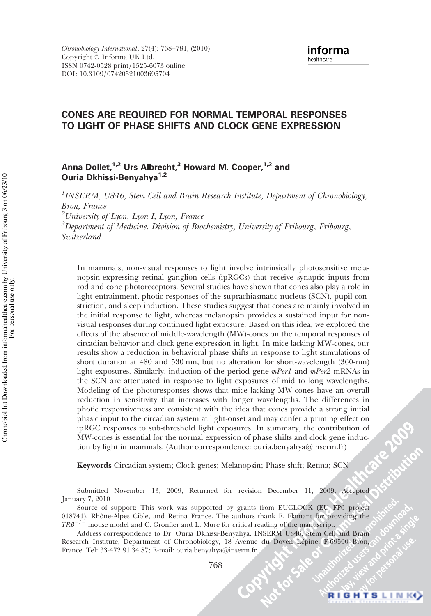# CONES ARE REQUIRED FOR NORMAL TEMPORAL RESPONSES TO LIGHT OF PHASE SHIFTS AND CLOCK GENE EXPRESSION

# Anna Dollet,<sup>1,2</sup> Urs Albrecht,<sup>3</sup> Howard M. Cooper,<sup>1,2</sup> and Ouria Dkhissi-Benyahya<sup>1,2</sup>

<sup>1</sup>INSERM, U846, Stem Cell and Brain Research Institute, Department of Chronobiology, Bron, France  $^{2}$ University of Lyon, Lyon I, Lyon, France <sup>3</sup>Department of Medicine, Division of Biochemistry, University of Fribourg, Fribourg, Switzerland

In mammals, non-visual responses to light involve intrinsically photosensitive melanopsin-expressing retinal ganglion cells (ipRGCs) that receive synaptic inputs from rod and cone photoreceptors. Several studies have shown that cones also play a role in light entrainment, photic responses of the suprachiasmatic nucleus (SCN), pupil constriction, and sleep induction. These studies suggest that cones are mainly involved in the initial response to light, whereas melanopsin provides a sustained input for nonvisual responses during continued light exposure. Based on this idea, we explored the effects of the absence of middle-wavelength (MW)-cones on the temporal responses of circadian behavior and clock gene expression in light. In mice lacking MW-cones, our results show a reduction in behavioral phase shifts in response to light stimulations of short duration at 480 and 530 nm, but no alteration for short-wavelength (360-nm) light exposures. Similarly, induction of the period gene mPer1 and mPer2 mRNAs in the SCN are attenuated in response to light exposures of mid to long wavelengths. Modeling of the photoresponses shows that mice lacking MW-cones have an overall reduction in sensitivity that increases with longer wavelengths. The differences in photic responsiveness are consistent with the idea that cones provide a strong initial phasic input to the circadian system at light-onset and may confer a priming effect on ipRGC responses to sub-threshold light exposures. In summary, the contribution of MW-cones is essential for the normal expression of phase shifts and clock gene induction by light in mammals. (Author correspondence: ouria.benyahya@inserm.fr)

Keywords Circadian system; Clock genes; Melanopsin; Phase shift; Retina; SCN

Submitted November 13, 2009, Returned for revision December 11, 2009, Accepted January 7, 2010

Source of support: This work was supported by grants from EUCLOCK (EU FP6 project 018741), Rhône-Alpes Cible, and Retina France. The authors thank F. Flamant for providing the  $TR\beta^{-/-}$  mouse model and C. Gronfier and L. Mure for critical reading of the manuscript.

Address correspondence to Dr. Ouria Dkhissi-Benyahya, INSERM U846, Stem Cell and Brain Research Institute, Department of Chronobiology, 18 Avenue du Doyen Lépine, F-69500 Bron, France. Tel: 33-472.91.34.87; E-mail: ouria.benyahya@inserm.fr

768

**P. 2009**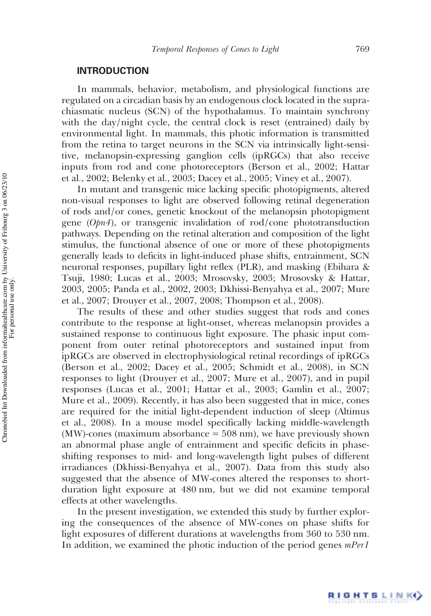### **INTRODUCTION**

In mammals, behavior, metabolism, and physiological functions are regulated on a circadian basis by an endogenous clock located in the suprachiasmatic nucleus (SCN) of the hypothalamus. To maintain synchrony with the day/night cycle, the central clock is reset (entrained) daily by environmental light. In mammals, this photic information is transmitted from the retina to target neurons in the SCN via intrinsically light-sensitive, melanopsin-expressing ganglion cells (ipRGCs) that also receive inputs from rod and cone photoreceptors (Berson et al., 2002; Hattar et al., 2002; Belenky et al., 2003; Dacey et al., 2005; Viney et al., 2007).

In mutant and transgenic mice lacking specific photopigments, altered non-visual responses to light are observed following retinal degeneration of rods and/or cones, genetic knockout of the melanopsin photopigment gene (Opn4), or transgenic invalidation of rod/cone phototransduction pathways. Depending on the retinal alteration and composition of the light stimulus, the functional absence of one or more of these photopigments generally leads to deficits in light-induced phase shifts, entrainment, SCN neuronal responses, pupillary light reflex (PLR), and masking (Ebihara & Tsuji, 1980; Lucas et al., 2003; Mrosovsky, 2003; Mrosovsky & Hattar, 2003, 2005; Panda et al., 2002, 2003; Dkhissi-Benyahya et al., 2007; Mure et al., 2007; Drouyer et al., 2007, 2008; Thompson et al., 2008).

The results of these and other studies suggest that rods and cones contribute to the response at light-onset, whereas melanopsin provides a sustained response to continuous light exposure. The phasic input component from outer retinal photoreceptors and sustained input from ipRGCs are observed in electrophysiological retinal recordings of ipRGCs (Berson et al., 2002; Dacey et al., 2005; Schmidt et al., 2008), in SCN responses to light (Drouyer et al., 2007; Mure et al., 2007), and in pupil responses (Lucas et al., 2001; Hattar et al., 2003; Gamlin et al., 2007; Mure et al., 2009). Recently, it has also been suggested that in mice, cones are required for the initial light-dependent induction of sleep (Altimus et al., 2008). In a mouse model specifically lacking middle-wavelength (MW)-cones (maximum absorbance = 508 nm), we have previously shown an abnormal phase angle of entrainment and specific deficits in phaseshifting responses to mid- and long-wavelength light pulses of different irradiances (Dkhissi-Benyahya et al., 2007). Data from this study also suggested that the absence of MW-cones altered the responses to shortduration light exposure at 480 nm, but we did not examine temporal effects at other wavelengths.

In the present investigation, we extended this study by further exploring the consequences of the absence of MW-cones on phase shifts for light exposures of different durations at wavelengths from 360 to 530 nm. In addition, we examined the photic induction of the period genes mPer1

For personal use only.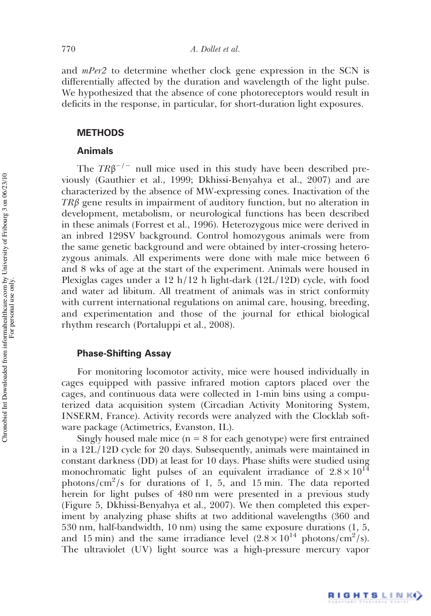and *mPer2* to determine whether clock gene expression in the SCN is differentially affected by the duration and wavelength of the light pulse. We hypothesized that the absence of cone photoreceptors would result in deficits in the response, in particular, for short-duration light exposures.

### **METHODS**

### Animals

The  $TR\beta^{-/-}$  null mice used in this study have been described previously (Gauthier et al., 1999; Dkhissi-Benyahya et al., 2007) and are characterized by the absence of MW-expressing cones. Inactivation of the  $TR\beta$  gene results in impairment of auditory function, but no alteration in development, metabolism, or neurological functions has been described in these animals (Forrest et al., 1996). Heterozygous mice were derived in an inbred 129SV background. Control homozygous animals were from the same genetic background and were obtained by inter-crossing heterozygous animals. All experiments were done with male mice between 6 and 8 wks of age at the start of the experiment. Animals were housed in Plexiglas cages under a 12 h/12 h light-dark (12L/12D) cycle, with food and water ad libitum. All treatment of animals was in strict conformity with current international regulations on animal care, housing, breeding, and experimentation and those of the journal for ethical biological rhythm research (Portaluppi et al., 2008).

### Phase-Shifting Assay

For monitoring locomotor activity, mice were housed individually in cages equipped with passive infrared motion captors placed over the cages, and continuous data were collected in 1-min bins using a computerized data acquisition system (Circadian Activity Monitoring System, INSERM, France). Activity records were analyzed with the Clocklab software package (Actimetrics, Evanston, IL).

Singly housed male mice  $(n = 8$  for each genotype) were first entrained in a 12L/12D cycle for 20 days. Subsequently, animals were maintained in constant darkness (DD) at least for 10 days. Phase shifts were studied using monochromatic light pulses of an equivalent irradiance of  $2.8 \times 10^{14}$ photons/cm<sup>2</sup>/s for durations of 1, 5, and 15 min. The data reported herein for light pulses of 480 nm were presented in a previous study (Figure 5, Dkhissi-Benyahya et al., 2007). We then completed this experiment by analyzing phase shifts at two additional wavelengths (360 and 530 nm, half-bandwidth, 10 nm) using the same exposure durations (1, 5, and 15 min) and the same irradiance level  $(2.8 \times 10^{14} \text{ photons/cm}^2/\text{s})$ . The ultraviolet (UV) light source was a high-pressure mercury vapor

RIGHTSLINK()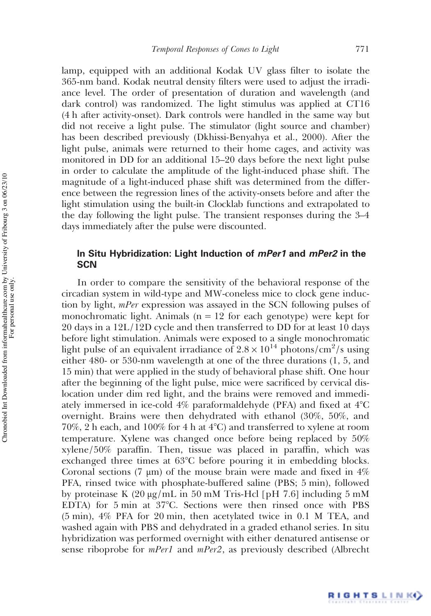lamp, equipped with an additional Kodak UV glass filter to isolate the 365-nm band. Kodak neutral density filters were used to adjust the irradiance level. The order of presentation of duration and wavelength (and dark control) was randomized. The light stimulus was applied at CT16 (4 h after activity-onset). Dark controls were handled in the same way but did not receive a light pulse. The stimulator (light source and chamber) has been described previously (Dkhissi-Benyahya et al., 2000). After the light pulse, animals were returned to their home cages, and activity was monitored in DD for an additional 15–20 days before the next light pulse in order to calculate the amplitude of the light-induced phase shift. The magnitude of a light-induced phase shift was determined from the difference between the regression lines of the activity-onsets before and after the light stimulation using the built-in Clocklab functions and extrapolated to the day following the light pulse. The transient responses during the 3–4 days immediately after the pulse were discounted.

# In Situ Hybridization: Light Induction of *mPer1* and *mPer2* in the **SCN**

In order to compare the sensitivity of the behavioral response of the circadian system in wild-type and MW-coneless mice to clock gene induction by light, mPer expression was assayed in the SCN following pulses of monochromatic light. Animals ( $n = 12$  for each genotype) were kept for 20 days in a 12L/12D cycle and then transferred to DD for at least 10 days before light stimulation. Animals were exposed to a single monochromatic light pulse of an equivalent irradiance of  $2.8 \times 10^{14}$  photons/cm<sup>2</sup>/s using either 480- or 530-nm wavelength at one of the three durations (1, 5, and 15 min) that were applied in the study of behavioral phase shift. One hour after the beginning of the light pulse, mice were sacrificed by cervical dislocation under dim red light, and the brains were removed and immediately immersed in ice-cold 4% paraformaldehyde (PFA) and fixed at 4°C overnight. Brains were then dehydrated with ethanol (30%, 50%, and 70%, 2 h each, and 100% for 4 h at  $4^{\circ}$ C) and transferred to xylene at room temperature. Xylene was changed once before being replaced by 50% xylene/50% paraffin. Then, tissue was placed in paraffin, which was exchanged three times at 63°C before pouring it in embedding blocks. Coronal sections (7  $\mu$ m) of the mouse brain were made and fixed in 4% PFA, rinsed twice with phosphate-buffered saline (PBS; 5 min), followed by proteinase K (20 μg/mL in 50 mM Tris-Hcl [pH 7.6] including 5 mM EDTA) for 5 min at 37°C. Sections were then rinsed once with PBS (5 min), 4% PFA for 20 min, then acetylated twice in 0.1 M TEA, and washed again with PBS and dehydrated in a graded ethanol series. In situ hybridization was performed overnight with either denatured antisense or sense riboprobe for *mPer1* and *mPer2*, as previously described (Albrecht

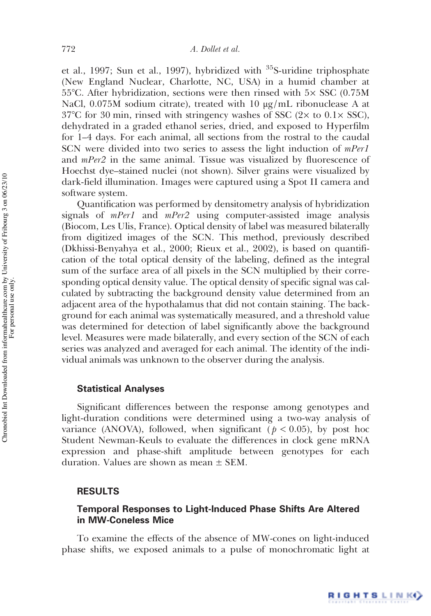et al., 1997; Sun et al., 1997), hybridized with <sup>35</sup>S-uridine triphosphate (New England Nuclear, Charlotte, NC, USA) in a humid chamber at 55 $\degree$ C. After hybridization, sections were then rinsed with 5 $\times$  SSC (0.75M) NaCl,  $0.075M$  sodium citrate), treated with 10  $\mu$ g/mL ribonuclease A at  $37^{\circ}$ C for 30 min, rinsed with stringency washes of SSC (2 $\times$  to 0.1 $\times$  SSC), dehydrated in a graded ethanol series, dried, and exposed to Hyperfilm for 1–4 days. For each animal, all sections from the rostral to the caudal SCN were divided into two series to assess the light induction of *mPer1* and  $mPer2$  in the same animal. Tissue was visualized by fluorescence of Hoechst dye–stained nuclei (not shown). Silver grains were visualized by dark-field illumination. Images were captured using a Spot II camera and software system.

Quantification was performed by densitometry analysis of hybridization signals of *mPer1* and *mPer2* using computer-assisted image analysis (Biocom, Les Ulis, France). Optical density of label was measured bilaterally from digitized images of the SCN. This method, previously described (Dkhissi-Benyahya et al., 2000; Rieux et al., 2002), is based on quantification of the total optical density of the labeling, defined as the integral sum of the surface area of all pixels in the SCN multiplied by their corresponding optical density value. The optical density of specific signal was calculated by subtracting the background density value determined from an adjacent area of the hypothalamus that did not contain staining. The background for each animal was systematically measured, and a threshold value was determined for detection of label significantly above the background level. Measures were made bilaterally, and every section of the SCN of each series was analyzed and averaged for each animal. The identity of the individual animals was unknown to the observer during the analysis.

### Statistical Analyses

Significant differences between the response among genotypes and light-duration conditions were determined using a two-way analysis of variance (ANOVA), followed, when significant ( $p < 0.05$ ), by post hoc Student Newman-Keuls to evaluate the differences in clock gene mRNA expression and phase-shift amplitude between genotypes for each duration. Values are shown as mean ± SEM.

### RESULTS

# Temporal Responses to Light-Induced Phase Shifts Are Altered in MW-Coneless Mice

To examine the effects of the absence of MW-cones on light-induced phase shifts, we exposed animals to a pulse of monochromatic light at

RIGHTSLINK()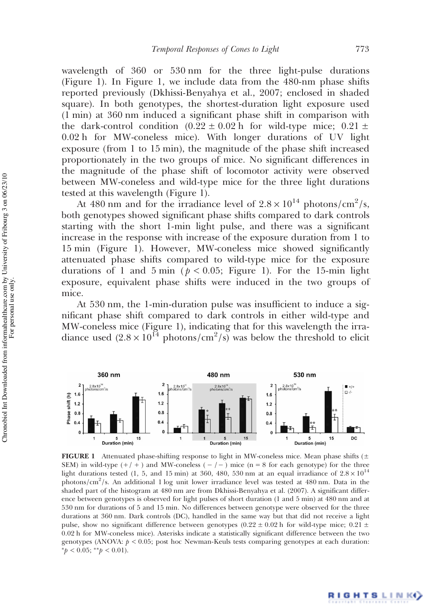wavelength of 360 or 530 nm for the three light-pulse durations (Figure 1). In Figure 1, we include data from the 480-nm phase shifts reported previously (Dkhissi-Benyahya et al., 2007; enclosed in shaded square). In both genotypes, the shortest-duration light exposure used (1 min) at 360 nm induced a significant phase shift in comparison with the dark-control condition  $(0.22 \pm 0.02 \text{ h}$  for wild-type mice;  $0.21 \pm$ 0.02 h for MW-coneless mice). With longer durations of UV light exposure (from 1 to 15 min), the magnitude of the phase shift increased proportionately in the two groups of mice. No significant differences in the magnitude of the phase shift of locomotor activity were observed between MW-coneless and wild-type mice for the three light durations tested at this wavelength (Figure 1).

At 480 nm and for the irradiance level of  $2.8 \times 10^{14}$  photons/cm<sup>2</sup>/s, both genotypes showed significant phase shifts compared to dark controls starting with the short 1-min light pulse, and there was a significant increase in the response with increase of the exposure duration from 1 to 15 min (Figure 1). However, MW-coneless mice showed significantly attenuated phase shifts compared to wild-type mice for the exposure durations of 1 and 5 min ( $p < 0.05$ ; Figure 1). For the 15-min light exposure, equivalent phase shifts were induced in the two groups of mice.

At 530 nm, the 1-min-duration pulse was insufficient to induce a significant phase shift compared to dark controls in either wild-type and MW-coneless mice (Figure 1), indicating that for this wavelength the irradiance used  $(2.8 \times 10^{14} \text{ photons/cm}^2/\text{s})$  was below the threshold to elicit



FIGURE 1 Attenuated phase-shifting response to light in MW-coneless mice. Mean phase shifts ( $\pm$ SEM) in wild-type  $(+/ +)$  and MW-coneless  $(-/-)$  mice (n = 8 for each genotype) for the three light durations tested (1, 5, and 15 min) at 360, 480, 530 nm at an equal irradiance of  $2.8 \times 10^{14}$ photons/cm<sup>2</sup>/s. An additional 1 log unit lower irradiance level was tested at 480 nm. Data in the shaded part of the histogram at 480 nm are from Dkhissi-Benyahya et al. (2007). A significant difference between genotypes is observed for light pulses of short duration (1 and 5 min) at 480 nm and at 530 nm for durations of 5 and 15 min. No differences between genotype were observed for the three durations at 360 nm. Dark controls (DC), handled in the same way but that did not receive a light pulse, show no significant difference between genotypes (0.22  $\pm$  0.02 h for wild-type mice; 0.21  $\pm$ 0.02 h for MW-coneless mice). Asterisks indicate a statistically significant difference between the two genotypes (ANOVA:  $p < 0.05$ ; post hoc Newman-Keuls tests comparing genotypes at each duration: \* $p < 0.05$ ; \*\* $p < 0.01$ ).

For personal use only.

RIGHTS LINK()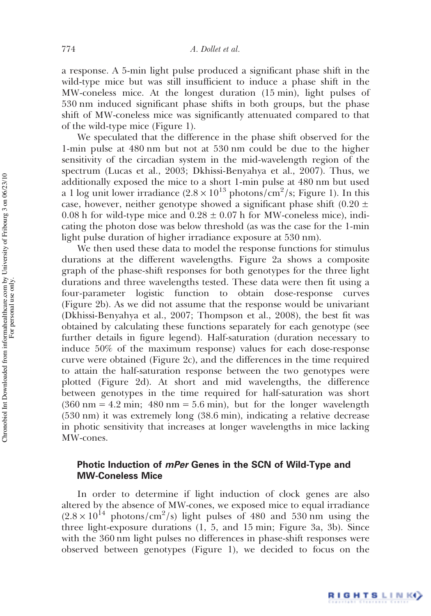a response. A 5-min light pulse produced a significant phase shift in the wild-type mice but was still insufficient to induce a phase shift in the MW-coneless mice. At the longest duration (15 min), light pulses of 530 nm induced significant phase shifts in both groups, but the phase shift of MW-coneless mice was significantly attenuated compared to that of the wild-type mice (Figure 1).

We speculated that the difference in the phase shift observed for the 1-min pulse at 480 nm but not at 530 nm could be due to the higher sensitivity of the circadian system in the mid-wavelength region of the spectrum (Lucas et al., 2003; Dkhissi-Benyahya et al., 2007). Thus, we additionally exposed the mice to a short 1-min pulse at 480 nm but used a 1 log unit lower irradiance  $(2.8 \times 10^{13} \text{ photons/cm}^2/\text{s}$ ; Figure 1). In this case, however, neither genotype showed a significant phase shift  $(0.20 \pm 1)$ 0.08 h for wild-type mice and  $0.28 \pm 0.07$  h for MW-coneless mice), indicating the photon dose was below threshold (as was the case for the 1-min light pulse duration of higher irradiance exposure at 530 nm).

We then used these data to model the response functions for stimulus durations at the different wavelengths. Figure 2a shows a composite graph of the phase-shift responses for both genotypes for the three light durations and three wavelengths tested. These data were then fit using a four-parameter logistic function to obtain dose-response curves (Figure 2b). As we did not assume that the response would be univariant (Dkhissi-Benyahya et al., 2007; Thompson et al., 2008), the best fit was obtained by calculating these functions separately for each genotype (see further details in figure legend). Half-saturation (duration necessary to induce 50% of the maximum response) values for each dose-response curve were obtained (Figure 2c), and the differences in the time required to attain the half-saturation response between the two genotypes were plotted (Figure 2d). At short and mid wavelengths, the difference between genotypes in the time required for half-saturation was short  $(360 \text{ nm} = 4.2 \text{ min}; 480 \text{ nm} = 5.6 \text{ min})$ , but for the longer wavelength (530 nm) it was extremely long (38.6 min), indicating a relative decrease in photic sensitivity that increases at longer wavelengths in mice lacking MW-cones.

## Photic Induction of mPer Genes in the SCN of Wild-Type and MW-Coneless Mice

In order to determine if light induction of clock genes are also altered by the absence of MW-cones, we exposed mice to equal irradiance  $(2.8 \times 10^{14} \text{ photons/cm}^2/\text{s})$  light pulses of 480 and 530 nm using the three light-exposure durations (1, 5, and 15 min; Figure 3a, 3b). Since with the 360 nm light pulses no differences in phase-shift responses were observed between genotypes (Figure 1), we decided to focus on the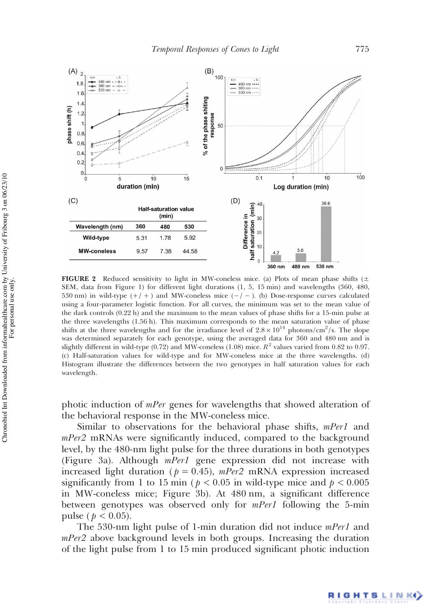

FIGURE 2 Reduced sensitivity to light in MW-coneless mice. (a) Plots of mean phase shifts ( $\pm$ SEM, data from Figure 1) for different light durations (1, 5, 15 min) and wavelengths (360, 480, 530 nm) in wild-type  $(+/ +)$  and MW-coneless mice  $(-/ -)$ . (b) Dose-response curves calculated using a four-parameter logistic function. For all curves, the minimum was set to the mean value of the dark controls (0.22 h) and the maximum to the mean values of phase shifts for a 15-min pulse at the three wavelengths (1.56 h). This maximum corresponds to the mean saturation value of phase shifts at the three wavelengths and for the irradiance level of  $2.8 \times 10^{14}$  photons/cm<sup>2</sup>/s. The slope was determined separately for each genotype, using the averaged data for 360 and 480 nm and is slightly different in wild-type (0.72) and MW-coneless (1.08) mice.  $R^2$  values varied from 0.82 to 0.97. (c) Half-saturation values for wild-type and for MW-coneless mice at the three wavelengths. (d) Histogram illustrate the differences between the two genotypes in half saturation values for each wavelength.

photic induction of mPer genes for wavelengths that showed alteration of the behavioral response in the MW-coneless mice.

Similar to observations for the behavioral phase shifts, mPer1 and mPer2 mRNAs were significantly induced, compared to the background level, by the 480-nm light pulse for the three durations in both genotypes (Figure 3a). Although mPer1 gene expression did not increase with increased light duration ( $p = 0.45$ ),  $mPer2$  mRNA expression increased significantly from 1 to 15 min ( $p < 0.05$  in wild-type mice and  $p < 0.005$ in MW-coneless mice; Figure 3b). At 480 nm, a significant difference between genotypes was observed only for *mPer1* following the 5-min pulse ( $p < 0.05$ ).

The 530-nm light pulse of 1-min duration did not induce mPer1 and  $mPer2$  above background levels in both groups. Increasing the duration of the light pulse from 1 to 15 min produced significant photic induction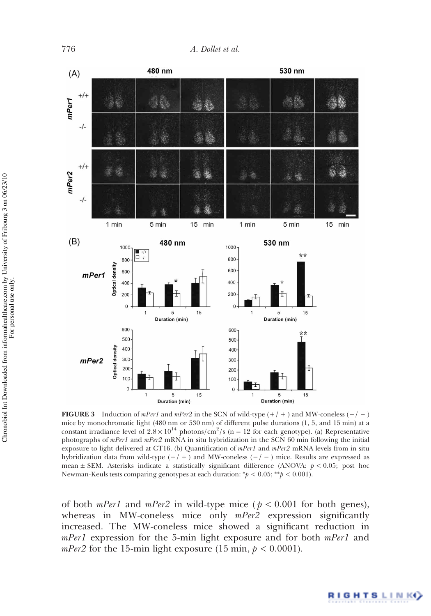

**FIGURE 3** Induction of mPer1 and mPer2 in the SCN of wild-type  $(+/ + )$  and MW-coneless  $(-/ - )$ mice by monochromatic light (480 nm or 530 nm) of different pulse durations (1, 5, and 15 min) at a constant irradiance level of  $2.8 \times 10^{14}$  photons/cm<sup>2</sup>/s (n = 12 for each genotype). (a) Representative photographs of mPer1 and mPer2 mRNA in situ hybridization in the SCN 60 min following the initial exposure to light delivered at CT16. (b) Quantification of  $mPer1$  and  $mPer2$  mRNA levels from in situ hybridization data from wild-type  $(+/ + )$  and MW-coneless  $(-/ - )$  mice. Results are expressed as mean  $\pm$  SEM. Asterisks indicate a statistically significant difference (ANOVA:  $p < 0.05$ ; post hoc Newman-Keuls tests comparing genotypes at each duration: \* $p < 0.05$ ; \*\* $p < 0.001$ ).

of both *mPer1* and *mPer2* in wild-type mice ( $p < 0.001$  for both genes), whereas in MW-coneless mice only  $mPer2$  expression significantly increased. The MW-coneless mice showed a significant reduction in mPer1 expression for the 5-min light exposure and for both mPer1 and *mPer2* for the 15-min light exposure (15 min,  $p < 0.0001$ ).

**RIGHTSLINK**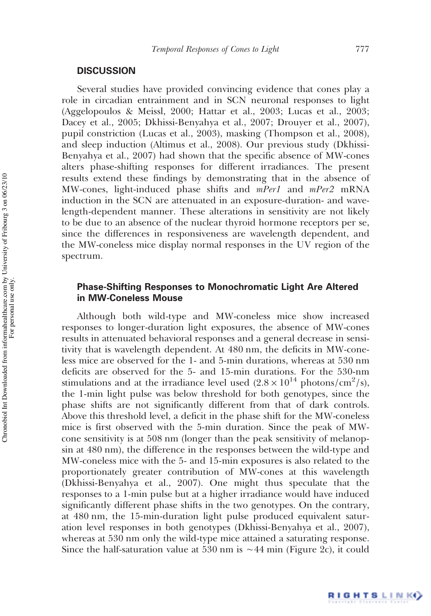### **DISCUSSION**

Several studies have provided convincing evidence that cones play a role in circadian entrainment and in SCN neuronal responses to light (Aggelopoulos & Meissl, 2000; Hattar et al., 2003; Lucas et al., 2003; Dacey et al., 2005; Dkhissi-Benyahya et al., 2007; Drouyer et al., 2007), pupil constriction (Lucas et al., 2003), masking (Thompson et al., 2008), and sleep induction (Altimus et al., 2008). Our previous study (Dkhissi-Benyahya et al., 2007) had shown that the specific absence of MW-cones alters phase-shifting responses for different irradiances. The present results extend these findings by demonstrating that in the absence of MW-cones, light-induced phase shifts and *mPer1* and *mPer2* mRNA induction in the SCN are attenuated in an exposure-duration- and wavelength-dependent manner. These alterations in sensitivity are not likely to be due to an absence of the nuclear thyroid hormone receptors per se, since the differences in responsiveness are wavelength dependent, and the MW-coneless mice display normal responses in the UV region of the spectrum.

## Phase-Shifting Responses to Monochromatic Light Are Altered in MW-Coneless Mouse

Although both wild-type and MW-coneless mice show increased responses to longer-duration light exposures, the absence of MW-cones results in attenuated behavioral responses and a general decrease in sensitivity that is wavelength dependent. At 480 nm, the deficits in MW-coneless mice are observed for the 1- and 5-min durations, whereas at 530 nm deficits are observed for the 5- and 15-min durations. For the 530-nm stimulations and at the irradiance level used  $(2.8 \times 10^{14} \text{ photons/cm}^2/\text{s})$ , the 1-min light pulse was below threshold for both genotypes, since the phase shifts are not significantly different from that of dark controls. Above this threshold level, a deficit in the phase shift for the MW-coneless mice is first observed with the 5-min duration. Since the peak of MWcone sensitivity is at 508 nm (longer than the peak sensitivity of melanopsin at 480 nm), the difference in the responses between the wild-type and MW-coneless mice with the 5- and 15-min exposures is also related to the proportionately greater contribution of MW-cones at this wavelength (Dkhissi-Benyahya et al., 2007). One might thus speculate that the responses to a 1-min pulse but at a higher irradiance would have induced significantly different phase shifts in the two genotypes. On the contrary, at 480 nm, the 15-min-duration light pulse produced equivalent saturation level responses in both genotypes (Dkhissi-Benyahya et al., 2007), whereas at 530 nm only the wild-type mice attained a saturating response. Since the half-saturation value at 530 nm is ∼44 min (Figure 2c), it could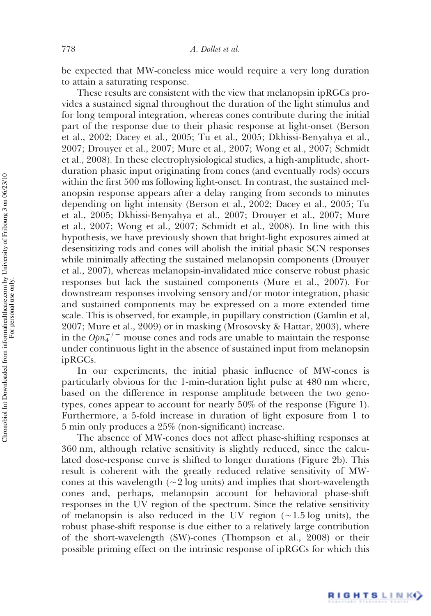be expected that MW-coneless mice would require a very long duration to attain a saturating response.

These results are consistent with the view that melanopsin ipRGCs provides a sustained signal throughout the duration of the light stimulus and for long temporal integration, whereas cones contribute during the initial part of the response due to their phasic response at light-onset (Berson et al., 2002; Dacey et al., 2005; Tu et al., 2005; Dkhissi-Benyahya et al., 2007; Drouyer et al., 2007; Mure et al., 2007; Wong et al., 2007; Schmidt et al., 2008). In these electrophysiological studies, a high-amplitude, shortduration phasic input originating from cones (and eventually rods) occurs within the first 500 ms following light-onset. In contrast, the sustained melanopsin response appears after a delay ranging from seconds to minutes depending on light intensity (Berson et al., 2002; Dacey et al., 2005; Tu et al., 2005; Dkhissi-Benyahya et al., 2007; Drouyer et al., 2007; Mure et al., 2007; Wong et al., 2007; Schmidt et al., 2008). In line with this hypothesis, we have previously shown that bright-light exposures aimed at desensitizing rods and cones will abolish the initial phasic SCN responses while minimally affecting the sustained melanopsin components (Drouyer et al., 2007), whereas melanopsin-invalidated mice conserve robust phasic responses but lack the sustained components (Mure et al., 2007). For downstream responses involving sensory and/or motor integration, phasic and sustained components may be expressed on a more extended time scale. This is observed, for example, in pupillary constriction (Gamlin et al, 2007; Mure et al., 2009) or in masking (Mrosovsky & Hattar, 2003), where in the  $Opn_4^{-/-}$  mouse cones and rods are unable to maintain the response under continuous light in the absence of sustained input from melanopsin ipRGCs.

In our experiments, the initial phasic influence of MW-cones is particularly obvious for the 1-min-duration light pulse at 480 nm where, based on the difference in response amplitude between the two genotypes, cones appear to account for nearly 50% of the response (Figure 1). Furthermore, a 5-fold increase in duration of light exposure from 1 to 5 min only produces a 25% (non-significant) increase.

The absence of MW-cones does not affect phase-shifting responses at 360 nm, although relative sensitivity is slightly reduced, since the calculated dose-response curve is shifted to longer durations (Figure 2b). This result is coherent with the greatly reduced relative sensitivity of MWcones at this wavelength (∼2 log units) and implies that short-wavelength cones and, perhaps, melanopsin account for behavioral phase-shift responses in the UV region of the spectrum. Since the relative sensitivity of melanopsin is also reduced in the UV region (∼1.5 log units), the robust phase-shift response is due either to a relatively large contribution of the short-wavelength (SW)-cones (Thompson et al., 2008) or their possible priming effect on the intrinsic response of ipRGCs for which this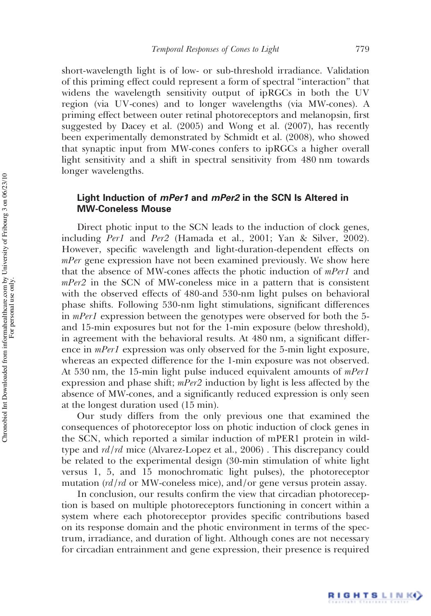short-wavelength light is of low- or sub-threshold irradiance. Validation of this priming effect could represent a form of spectral "interaction" that widens the wavelength sensitivity output of ipRGCs in both the UV region (via UV-cones) and to longer wavelengths (via MW-cones). A priming effect between outer retinal photoreceptors and melanopsin, first suggested by Dacey et al. (2005) and Wong et al. (2007), has recently been experimentally demonstrated by Schmidt et al. (2008), who showed that synaptic input from MW-cones confers to ipRGCs a higher overall light sensitivity and a shift in spectral sensitivity from 480 nm towards longer wavelengths.

# Light Induction of *mPer1* and *mPer2* in the SCN Is Altered in MW-Coneless Mouse

Direct photic input to the SCN leads to the induction of clock genes, including Per1 and Per2 (Hamada et al., 2001; Yan & Silver, 2002). However, specific wavelength and light-duration-dependent effects on *mPer* gene expression have not been examined previously. We show here that the absence of MW-cones affects the photic induction of mPer1 and mPer2 in the SCN of MW-coneless mice in a pattern that is consistent with the observed effects of 480-and 530-nm light pulses on behavioral phase shifts. Following 530-nm light stimulations, significant differences in *mPer1* expression between the genotypes were observed for both the 5and 15-min exposures but not for the 1-min exposure (below threshold), in agreement with the behavioral results. At 480 nm, a significant difference in *mPer1* expression was only observed for the 5-min light exposure, whereas an expected difference for the 1-min exposure was not observed. At 530 nm, the 15-min light pulse induced equivalent amounts of  $mPer1$ expression and phase shift; *mPer2* induction by light is less affected by the absence of MW-cones, and a significantly reduced expression is only seen at the longest duration used (15 min).

Our study differs from the only previous one that examined the consequences of photoreceptor loss on photic induction of clock genes in the SCN, which reported a similar induction of mPER1 protein in wildtype and *rd/rd* mice (Alvarez-Lopez et al., 2006). This discrepancy could be related to the experimental design (30-min stimulation of white light versus 1, 5, and 15 monochromatic light pulses), the photoreceptor mutation  $\left(\frac{rd}{rd} \right)$  or MW-coneless mice), and/or gene versus protein assay.

In conclusion, our results confirm the view that circadian photoreception is based on multiple photoreceptors functioning in concert within a system where each photoreceptor provides specific contributions based on its response domain and the photic environment in terms of the spectrum, irradiance, and duration of light. Although cones are not necessary for circadian entrainment and gene expression, their presence is required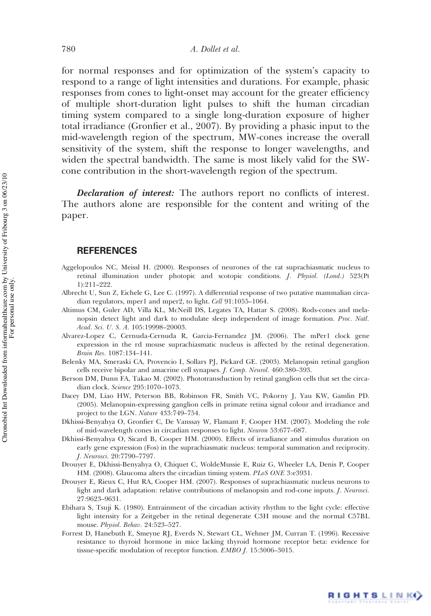for normal responses and for optimization of the system's capacity to respond to a range of light intensities and durations. For example, phasic responses from cones to light-onset may account for the greater efficiency of multiple short-duration light pulses to shift the human circadian timing system compared to a single long-duration exposure of higher total irradiance (Gronfier et al., 2007). By providing a phasic input to the mid-wavelength region of the spectrum, MW-cones increase the overall sensitivity of the system, shift the response to longer wavelengths, and widen the spectral bandwidth. The same is most likely valid for the SWcone contribution in the short-wavelength region of the spectrum.

**Declaration of interest:** The authors report no conflicts of interest. The authors alone are responsible for the content and writing of the paper.

## **REFERENCES**

- Aggelopoulos NC, Meissl H. (2000). Responses of neurones of the rat suprachiasmatic nucleus to retinal illumination under photopic and scotopic conditions. J. Physiol. (Lond.) 523(Pt 1):211–222.
- Albrecht U, Sun Z, Eichele G, Lee C. (1997). A differential response of two putative mammalian circadian regulators, mper1 and mper2, to light. Cell 91:1055–1064.
- Altimus CM, Guler AD, Villa KL, McNeill DS, Legates TA, Hattar S. (2008). Rods-cones and melanopsin detect light and dark to modulate sleep independent of image formation. Proc. Natl. Acad. Sci. U. S. A. 105:19998–20003.
- Alvarez-Lopez C, Cernuda-Cernuda R, Garcia-Fernandez JM. (2006). The mPer1 clock gene expression in the rd mouse suprachiasmatic nucleus is affected by the retinal degeneration. Brain Res. 1087:134–141.
- Belenky MA, Smeraski CA, Provencio I, Sollars PJ, Pickard GE. (2003). Melanopsin retinal ganglion cells receive bipolar and amacrine cell synapses. J. Comp. Neurol. 460:380–393.
- Berson DM, Dunn FA, Takao M. (2002). Phototransduction by retinal ganglion cells that set the circadian clock. Science 295:1070–1073.
- Dacey DM, Liao HW, Peterson BB, Robinson FR, Smith VC, Pokorny J, Yau KW, Gamlin PD. (2005). Melanopsin-expressing ganglion cells in primate retina signal colour and irradiance and project to the LGN. Nature 433:749–754.
- Dkhissi-Benyahya O, Gronfier C, De Vanssay W, Flamant F, Cooper HM. (2007). Modeling the role of mid-wavelength cones in circadian responses to light. Neuron 53:677–687.
- Dkhissi-Benyahya O, Sicard B, Cooper HM. (2000). Effects of irradiance and stimulus duration on early gene expression (Fos) in the suprachiasmatic nucleus: temporal summation and reciprocity. J. Neurosci. 20:7790–7797.
- Drouyer E, Dkhissi-Benyahya O, Chiquet C, WoldeMussie E, Ruiz G, Wheeler LA, Denis P, Cooper HM. (2008). Glaucoma alters the circadian timing system. PLoS ONE 3:e3931.
- Drouyer E, Rieux C, Hut RA, Cooper HM. (2007). Responses of suprachiasmatic nucleus neurons to light and dark adaptation: relative contributions of melanopsin and rod-cone inputs. J. Neurosci. 27:9623–9631.
- Ebihara S, Tsuji K. (1980). Entrainment of the circadian activity rhythm to the light cycle: effective light intensity for a Zeitgeber in the retinal degenerate C3H mouse and the normal C57BL mouse. Physiol. Behav. 24:523–527.
- Forrest D, Hanebuth E, Smeyne RJ, Everds N, Stewart CL, Wehner JM, Curran T. (1996). Recessive resistance to thyroid hormone in mice lacking thyroid hormone receptor beta: evidence for tissue-specific modulation of receptor function. EMBO J. 15:3006–3015.

RIGHTSLINK()

For personal use only.